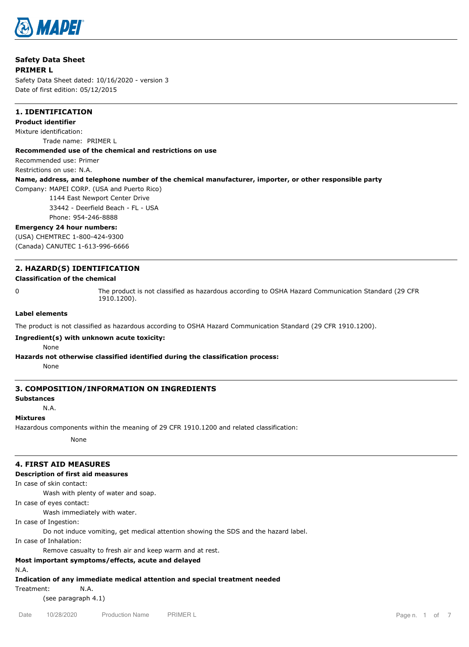

# **Safety Data Sheet PRIMER L**

Safety Data Sheet dated: 10/16/2020 - version 3 Date of first edition: 05/12/2015

# **1. IDENTIFICATION**

**Product identifier** Mixture identification: Trade name: PRIMER L

## **Recommended use of the chemical and restrictions on use**

Recommended use: Primer

Restrictions on use: N.A.

# **Name, address, and telephone number of the chemical manufacturer, importer, or other responsible party**

Company: MAPEI CORP. (USA and Puerto Rico)

1144 East Newport Center Drive

33442 - Deerfield Beach - FL - USA

Phone: 954-246-8888

## **Emergency 24 hour numbers:**

(USA) CHEMTREC 1-800-424-9300 (Canada) CANUTEC 1-613-996-6666

# **2. HAZARD(S) IDENTIFICATION**

## **Classification of the chemical**

0 The product is not classified as hazardous according to OSHA Hazard Communication Standard (29 CFR 1910.1200).

## **Label elements**

The product is not classified as hazardous according to OSHA Hazard Communication Standard (29 CFR 1910.1200).

## **Ingredient(s) with unknown acute toxicity:**

None

# **Hazards not otherwise classified identified during the classification process:**

None

# **3. COMPOSITION/INFORMATION ON INGREDIENTS**

## **Substances**

N.A.

## **Mixtures**

Hazardous components within the meaning of 29 CFR 1910.1200 and related classification:

None

# **4. FIRST AID MEASURES**

# **Description of first aid measures**

In case of skin contact:

Wash with plenty of water and soap.

In case of eyes contact:

Wash immediately with water.

In case of Ingestion:

Do not induce vomiting, get medical attention showing the SDS and the hazard label.

In case of Inhalation:

Remove casualty to fresh air and keep warm and at rest.

# **Most important symptoms/effects, acute and delayed**

N.A.

**Indication of any immediate medical attention and special treatment needed**

Treatment: N.A.

(see paragraph 4.1)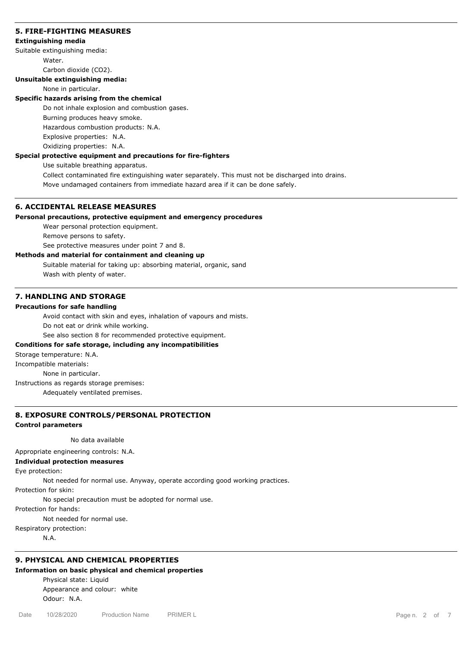## **5. FIRE-FIGHTING MEASURES**

## **Extinguishing media**

Suitable extinguishing media:

Water.

Carbon dioxide (CO2).

# **Unsuitable extinguishing media:**

## None in particular.

## **Specific hazards arising from the chemical**

Do not inhale explosion and combustion gases.

Burning produces heavy smoke.

Hazardous combustion products: N.A.

Explosive properties: N.A.

Oxidizing properties: N.A.

# **Special protective equipment and precautions for fire-fighters**

Use suitable breathing apparatus.

Collect contaminated fire extinguishing water separately. This must not be discharged into drains. Move undamaged containers from immediate hazard area if it can be done safely.

# **6. ACCIDENTAL RELEASE MEASURES**

# **Personal precautions, protective equipment and emergency procedures**

Wear personal protection equipment.

Remove persons to safety.

See protective measures under point 7 and 8.

# **Methods and material for containment and cleaning up**

Suitable material for taking up: absorbing material, organic, sand Wash with plenty of water.

## **7. HANDLING AND STORAGE**

## **Precautions for safe handling**

Avoid contact with skin and eyes, inhalation of vapours and mists.

Do not eat or drink while working.

See also section 8 for recommended protective equipment.

## **Conditions for safe storage, including any incompatibilities**

Storage temperature: N.A.

Incompatible materials:

None in particular.

Instructions as regards storage premises:

Adequately ventilated premises.

# **8. EXPOSURE CONTROLS/PERSONAL PROTECTION**

## **Control parameters**

No data available

Appropriate engineering controls: N.A.

## **Individual protection measures**

Eye protection:

Not needed for normal use. Anyway, operate according good working practices.

Protection for skin:

No special precaution must be adopted for normal use.

Protection for hands:

Not needed for normal use.

Respiratory protection:

N.A.

# **9. PHYSICAL AND CHEMICAL PROPERTIES**

## **Information on basic physical and chemical properties**

Physical state: Liquid Appearance and colour: white Odour: N.A.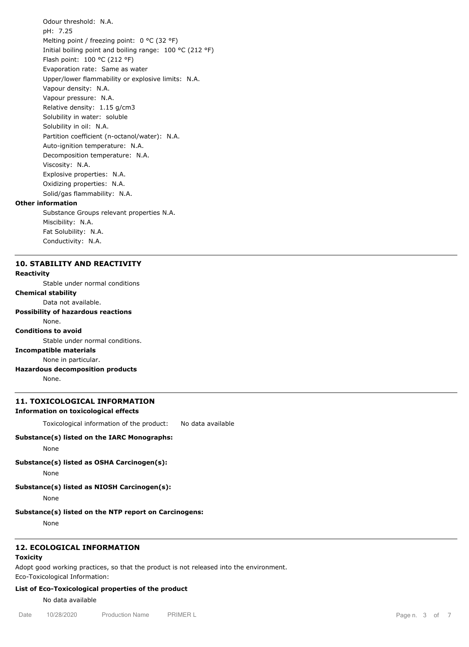Odour threshold: N.A. pH: 7.25 Melting point / freezing point: 0 °C (32 °F) Initial boiling point and boiling range: 100 °C (212 °F) Flash point: 100 °C (212 °F) Evaporation rate: Same as water Upper/lower flammability or explosive limits: N.A. Vapour density: N.A. Vapour pressure: N.A. Relative density: 1.15 g/cm3 Solubility in water: soluble Solubility in oil: N.A. Partition coefficient (n-octanol/water): N.A. Auto-ignition temperature: N.A. Decomposition temperature: N.A. Viscosity: N.A. Explosive properties: N.A. Oxidizing properties: N.A. Solid/gas flammability: N.A. Substance Groups relevant properties N.A.

# **Other information**

Miscibility: N.A. Fat Solubility: N.A. Conductivity: N.A.

## **10. STABILITY AND REACTIVITY**

## **Reactivity**

Stable under normal conditions

**Chemical stability**

Data not available.

# **Possibility of hazardous reactions**

## None. **Conditions to avoid**

Stable under normal conditions.

# **Incompatible materials**

None in particular.

**Hazardous decomposition products**

None.

## **11. TOXICOLOGICAL INFORMATION**

## **Information on toxicological effects**

Toxicological information of the product: No data available

#### **Substance(s) listed on the IARC Monographs:**

None

**Substance(s) listed as OSHA Carcinogen(s):**

None

## **Substance(s) listed as NIOSH Carcinogen(s):**

None

# **Substance(s) listed on the NTP report on Carcinogens:**

None

# **12. ECOLOGICAL INFORMATION**

# **Toxicity**

Adopt good working practices, so that the product is not released into the environment.

Eco-Toxicological Information:

# **List of Eco-Toxicological properties of the product**

No data available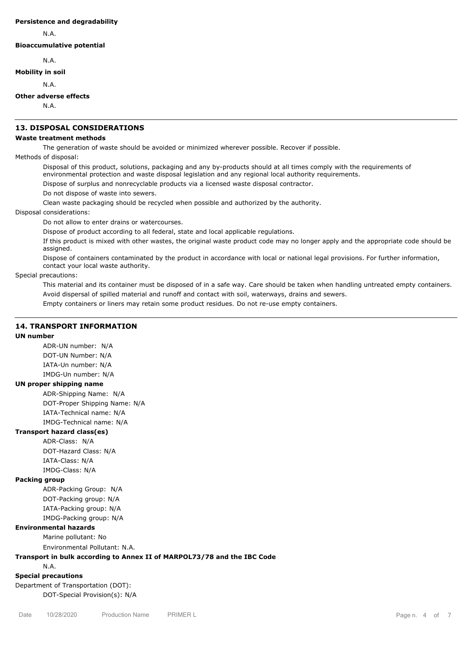### **Persistence and degradability**

N.A.

**Bioaccumulative potential**

N.A.

# **Mobility in soil**

N.A.

## **Other adverse effects**

N.A.

# **13. DISPOSAL CONSIDERATIONS**

## **Waste treatment methods**

The generation of waste should be avoided or minimized wherever possible. Recover if possible.

Methods of disposal:

Disposal of this product, solutions, packaging and any by-products should at all times comply with the requirements of environmental protection and waste disposal legislation and any regional local authority requirements.

Dispose of surplus and nonrecyclable products via a licensed waste disposal contractor.

Do not dispose of waste into sewers.

Clean waste packaging should be recycled when possible and authorized by the authority.

## Disposal considerations:

Do not allow to enter drains or watercourses.

Dispose of product according to all federal, state and local applicable regulations.

If this product is mixed with other wastes, the original waste product code may no longer apply and the appropriate code should be assigned.

Dispose of containers contaminated by the product in accordance with local or national legal provisions. For further information, contact your local waste authority.

Special precautions:

This material and its container must be disposed of in a safe way. Care should be taken when handling untreated empty containers. Avoid dispersal of spilled material and runoff and contact with soil, waterways, drains and sewers.

Empty containers or liners may retain some product residues. Do not re-use empty containers.

# **14. TRANSPORT INFORMATION**

## **UN number**

ADR-UN number: N/A DOT-UN Number: N/A IATA-Un number: N/A IMDG-Un number: N/A

### **UN proper shipping name**

ADR-Shipping Name: N/A DOT-Proper Shipping Name: N/A IATA-Technical name: N/A IMDG-Technical name: N/A

# **Transport hazard class(es)**

ADR-Class: N/A DOT-Hazard Class: N/A IATA-Class: N/A IMDG-Class: N/A

#### **Packing group**

ADR-Packing Group: N/A DOT-Packing group: N/A IATA-Packing group: N/A IMDG-Packing group: N/A

## **Environmental hazards**

Marine pollutant: No

Environmental Pollutant: N.A.

### **Transport in bulk according to Annex II of MARPOL73/78 and the IBC Code**

N.A.

## **Special precautions**

Department of Transportation (DOT): DOT-Special Provision(s): N/A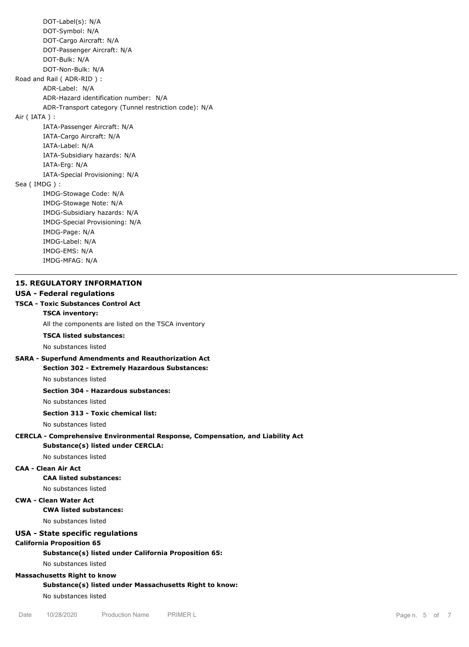DOT-Label(s): N/A DOT-Symbol: N/A DOT-Cargo Aircraft: N/A DOT-Passenger Aircraft: N/A DOT-Bulk: N/A DOT-Non-Bulk: N/A Road and Rail ( ADR-RID ) : ADR-Label: N/A ADR-Hazard identification number: N/A ADR-Transport category (Tunnel restriction code): N/A Air ( IATA ) : IATA-Passenger Aircraft: N/A IATA-Cargo Aircraft: N/A IATA-Label: N/A IATA-Subsidiary hazards: N/A IATA-Erg: N/A IATA-Special Provisioning: N/A Sea ( IMDG ) : IMDG-Stowage Code: N/A IMDG-Stowage Note: N/A IMDG-Subsidiary hazards: N/A IMDG-Special Provisioning: N/A IMDG-Page: N/A IMDG-Label: N/A IMDG-EMS: N/A IMDG-MFAG: N/A

# **15. REGULATORY INFORMATION**

# **USA - Federal regulations**

## **TSCA - Toxic Substances Control Act TSCA inventory:**

All the components are listed on the TSCA inventory

## **TSCA listed substances:**

No substances listed

# **SARA - Superfund Amendments and Reauthorization Act Section 302 - Extremely Hazardous Substances:**

No substances listed

# **Section 304 - Hazardous substances:**

No substances listed

# **Section 313 - Toxic chemical list:**

No substances listed

# **CERCLA - Comprehensive Environmental Response, Compensation, and Liability Act**

**Substance(s) listed under CERCLA:**

# No substances listed

# **CAA - Clean Air Act**

**CAA listed substances:**

#### No substances listed

# **CWA - Clean Water Act**

## **CWA listed substances:**

No substances listed

# **USA - State specific regulations**

## **California Proposition 65**

**Substance(s) listed under California Proposition 65:**

## No substances listed

# **Massachusetts Right to know**

**Substance(s) listed under Massachusetts Right to know:**

No substances listed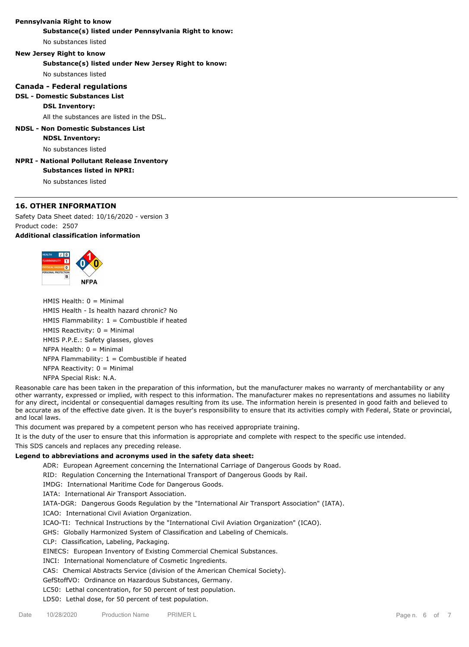## **Pennsylvania Right to know**

**Substance(s) listed under Pennsylvania Right to know:**

No substances listed

## **New Jersey Right to know**

**Substance(s) listed under New Jersey Right to know:**

No substances listed

## **Canada - Federal regulations**

## **DSL - Domestic Substances List**

## **DSL Inventory:**

All the substances are listed in the DSL.

# **NDSL - Non Domestic Substances List**

#### **NDSL Inventory:**

No substances listed

# **NPRI - National Pollutant Release Inventory**

**Substances listed in NPRI:**

No substances listed

# **16. OTHER INFORMATION**

Safety Data Sheet dated: 10/16/2020 - version 3 Product code: 2507 **Additional classification information**



HMIS Health: 0 = Minimal HMIS Health - Is health hazard chronic? No HMIS Flammability:  $1 =$  Combustible if heated HMIS Reactivity: 0 = Minimal HMIS P.P.E.: Safety glasses, gloves  $NFPA$  Health:  $0 =$  Minimal NFPA Flammability:  $1 =$  Combustible if heated NFPA Reactivity:  $0 =$  Minimal NFPA Special Risk: N.A.

Reasonable care has been taken in the preparation of this information, but the manufacturer makes no warranty of merchantability or any other warranty, expressed or implied, with respect to this information. The manufacturer makes no representations and assumes no liability for any direct, incidental or consequential damages resulting from its use. The information herein is presented in good faith and believed to be accurate as of the effective date given. It is the buyer's responsibility to ensure that its activities comply with Federal, State or provincial, and local laws.

This document was prepared by a competent person who has received appropriate training.

It is the duty of the user to ensure that this information is appropriate and complete with respect to the specific use intended.

This SDS cancels and replaces any preceding release.

## **Legend to abbreviations and acronyms used in the safety data sheet:**

ADR: European Agreement concerning the International Carriage of Dangerous Goods by Road.

RID: Regulation Concerning the International Transport of Dangerous Goods by Rail.

IMDG: International Maritime Code for Dangerous Goods.

IATA: International Air Transport Association.

IATA-DGR: Dangerous Goods Regulation by the "International Air Transport Association" (IATA).

ICAO: International Civil Aviation Organization.

ICAO-TI: Technical Instructions by the "International Civil Aviation Organization" (ICAO).

GHS: Globally Harmonized System of Classification and Labeling of Chemicals.

CLP: Classification, Labeling, Packaging.

EINECS: European Inventory of Existing Commercial Chemical Substances.

INCI: International Nomenclature of Cosmetic Ingredients.

CAS: Chemical Abstracts Service (division of the American Chemical Society).

GefStoffVO: Ordinance on Hazardous Substances, Germany.

LC50: Lethal concentration, for 50 percent of test population.

LD50: Lethal dose, for 50 percent of test population.